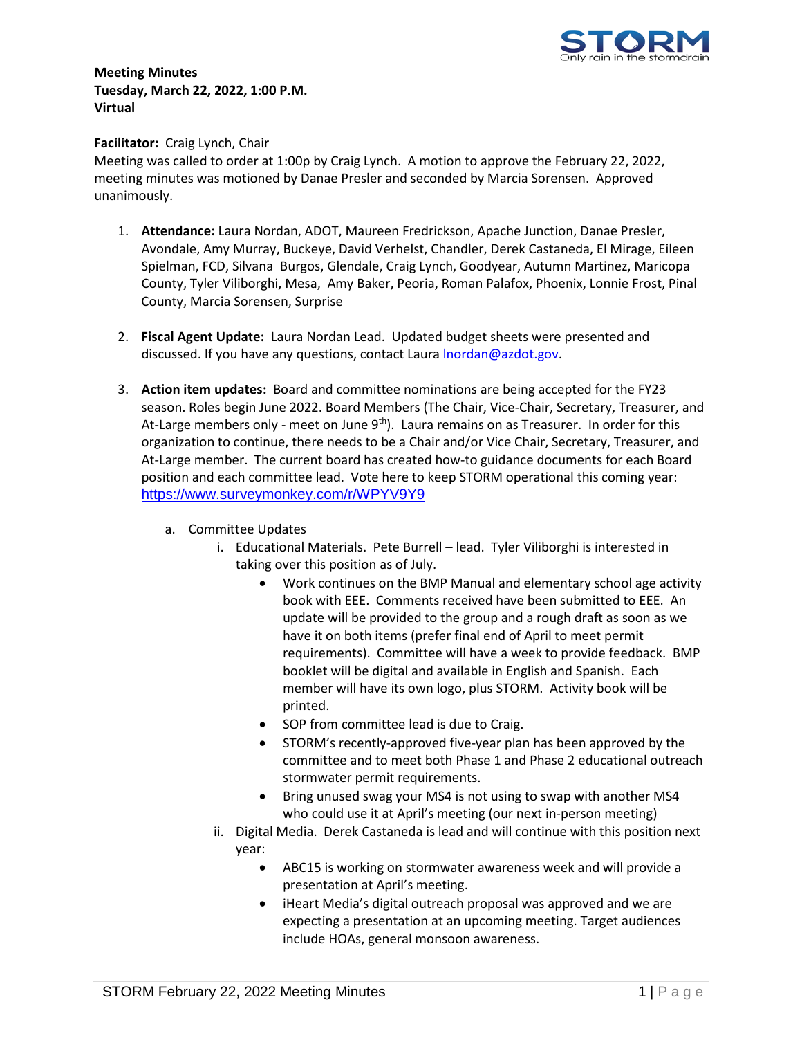

## **Meeting Minutes Tuesday, March 22, 2022, 1:00 P.M. Virtual**

## **Facilitator:** Craig Lynch, Chair

Meeting was called to order at 1:00p by Craig Lynch. A motion to approve the February 22, 2022, meeting minutes was motioned by Danae Presler and seconded by Marcia Sorensen. Approved unanimously.

- 1. **Attendance:** Laura Nordan, ADOT, Maureen Fredrickson, Apache Junction, Danae Presler, Avondale, Amy Murray, Buckeye, David Verhelst, Chandler, Derek Castaneda, El Mirage, Eileen Spielman, FCD, Silvana Burgos, Glendale, Craig Lynch, Goodyear, Autumn Martinez, Maricopa County, Tyler Viliborghi, Mesa, Amy Baker, Peoria, Roman Palafox, Phoenix, Lonnie Frost, Pinal County, Marcia Sorensen, Surprise
- 2. **Fiscal Agent Update:** Laura Nordan Lead. Updated budget sheets were presented and discussed. If you have any questions, contact Laura [lnordan@azdot.gov.](mailto:lnordan@azdot.gov)
- 3. **Action item updates:** Board and committee nominations are being accepted for the FY23 season. Roles begin June 2022. Board Members (The Chair, Vice-Chair, Secretary, Treasurer, and At-Large members only - meet on June  $9<sup>th</sup>$ ). Laura remains on as Treasurer. In order for this organization to continue, there needs to be a Chair and/or Vice Chair, Secretary, Treasurer, and At-Large member. The current board has created how-to guidance documents for each Board position and each committee lead. Vote here to keep STORM operational this coming year: [https://www.surveymonkey.com/r/WPYV9Y9](https://gcc02.safelinks.protection.outlook.com/?url=https%3A%2F%2Fwww.surveymonkey.com%2Fr%2FWPYV9Y9&data=04%7C01%7Camurray%40buckeyeaz.gov%7C950a51547a9d45f138c408d9f1677c75%7Cd00735dfc5ba45c79384d7fc46c3f56c%7C0%7C0%7C637806249347694651%7CUnknown%7CTWFpbGZsb3d8eyJWIjoiMC4wLjAwMDAiLCJQIjoiV2luMzIiLCJBTiI6Ik1haWwiLCJXVCI6Mn0%3D%7C3000&sdata=%2F3v638BPGkkKPA5EcpIfkqusgsoHF%2BERdXmfNQmjyIo%3D&reserved=0)
	- a. Committee Updates
		- i. Educational Materials. Pete Burrell lead. Tyler Viliborghi is interested in taking over this position as of July.
			- Work continues on the BMP Manual and elementary school age activity book with EEE. Comments received have been submitted to EEE. An update will be provided to the group and a rough draft as soon as we have it on both items (prefer final end of April to meet permit requirements). Committee will have a week to provide feedback. BMP booklet will be digital and available in English and Spanish. Each member will have its own logo, plus STORM. Activity book will be printed.
			- SOP from committee lead is due to Craig.
			- STORM's recently-approved five-year plan has been approved by the committee and to meet both Phase 1 and Phase 2 educational outreach stormwater permit requirements.
			- Bring unused swag your MS4 is not using to swap with another MS4 who could use it at April's meeting (our next in-person meeting)
		- ii. Digital Media. Derek Castaneda is lead and will continue with this position next year:
			- ABC15 is working on stormwater awareness week and will provide a presentation at April's meeting.
			- iHeart Media's digital outreach proposal was approved and we are expecting a presentation at an upcoming meeting. Target audiences include HOAs, general monsoon awareness.